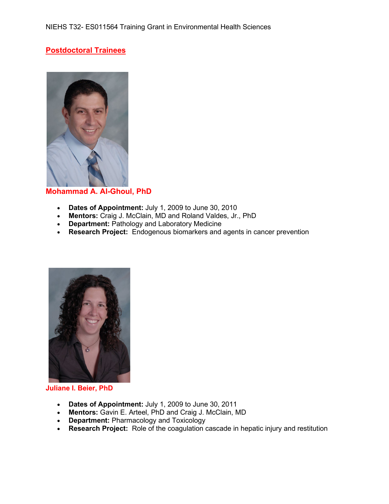# **Postdoctoral Trainees**



## **Mohammad A. Al-Ghoul, PhD**

- **Dates of Appointment:** July 1, 2009 to June 30, 2010
- **Mentors:** Craig J. McClain, MD and Roland Valdes, Jr., PhD
- **Department:** Pathology and Laboratory Medicine
- **Research Project:** Endogenous biomarkers and agents in cancer prevention



#### **Juliane I. Beier, PhD**

- **Dates of Appointment:** July 1, 2009 to June 30, 2011
- **Mentors:** Gavin E. Arteel, PhD and Craig J. McClain, MD
- **Department:** Pharmacology and Toxicology
- **Research Project:** Role of the coagulation cascade in hepatic injury and restitution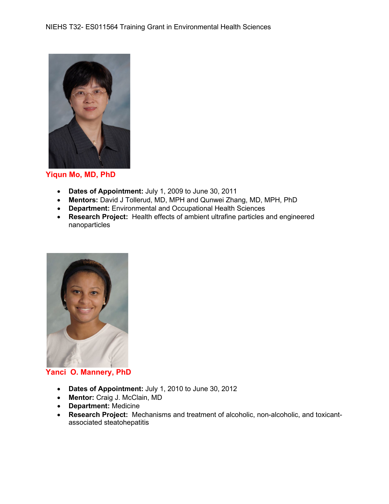

**Yiqun Mo, MD, PhD**

- **Dates of Appointment:** July 1, 2009 to June 30, 2011
- **Mentors:** David J Tollerud, MD, MPH and Qunwei Zhang, MD, MPH, PhD
- **Department:** Environmental and Occupational Health Sciences
- **Research Project:** Health effects of ambient ultrafine particles and engineered nanoparticles



### **Yanci O. Mannery, PhD**

- **Dates of Appointment:** July 1, 2010 to June 30, 2012
- **Mentor:** Craig J. McClain, MD
- **Department:** Medicine
- **Research Project:** Mechanisms and treatment of alcoholic, non-alcoholic, and toxicantassociated steatohepatitis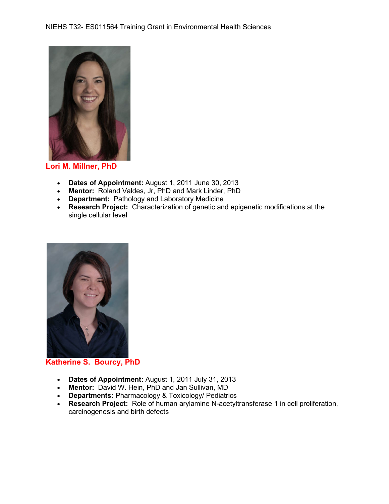

**Lori M. Millner, PhD**

- **Dates of Appointment:** August 1, 2011 June 30, 2013
- **Mentor:** Roland Valdes, Jr, PhD and Mark Linder, PhD
- **Department:** Pathology and Laboratory Medicine
- **Research Project:** Characterization of genetic and epigenetic modifications at the single cellular level



**Katherine S. Bourcy, PhD**

- **Dates of Appointment:** August 1, 2011 July 31, 2013
- **Mentor:** David W. Hein, PhD and Jan Sullivan, MD
- **Departments:** Pharmacology & Toxicology/ Pediatrics
- **Research Project:** Role of human arylamine N-acetyltransferase 1 in cell proliferation, carcinogenesis and birth defects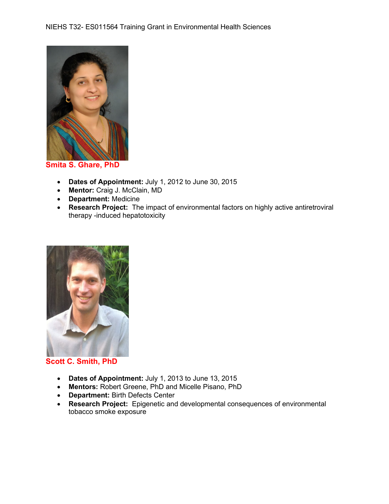

**Smita S. Ghare, PhD**

- **Dates of Appointment:** July 1, 2012 to June 30, 2015
- **Mentor:** Craig J. McClain, MD
- **Department:** Medicine
- **Research Project:** The impact of environmental factors on highly active antiretroviral therapy -induced hepatotoxicity



### **Scott C. Smith, PhD**

- **Dates of Appointment:** July 1, 2013 to June 13, 2015
- **Mentors:** Robert Greene, PhD and Micelle Pisano, PhD
- **Department:** Birth Defects Center
- **Research Project:** Epigenetic and developmental consequences of environmental tobacco smoke exposure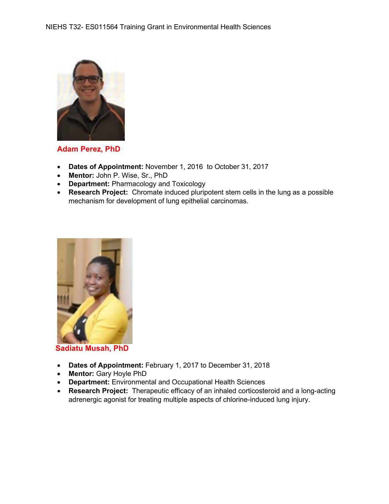

**Adam Perez, PhD**

- **Dates of Appointment:** November 1, 2016 to October 31, 2017
- **Mentor:** John P. Wise, Sr., PhD
- **Department:** Pharmacology and Toxicology
- **Research Project:** Chromate induced pluripotent stem cells in the lung as a possible mechanism for development of lung epithelial carcinomas.



 **Sadiatu Musah, PhD**

- **Dates of Appointment:** February 1, 2017 to December 31, 2018
- **Mentor:** Gary Hoyle PhD
- **Department:** Environmental and Occupational Health Sciences
- **Research Project:** Therapeutic efficacy of an inhaled corticosteroid and a long-acting adrenergic agonist for treating multiple aspects of chlorine-induced lung injury.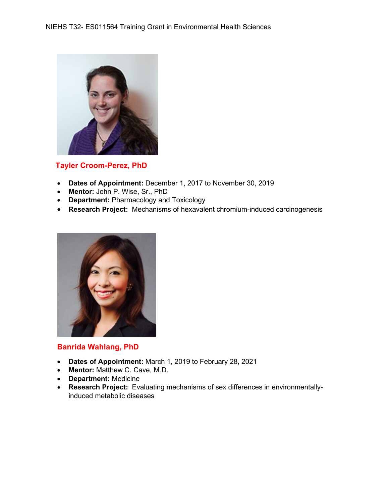

## **Tayler Croom-Perez, PhD**

- **Dates of Appointment:** December 1, 2017 to November 30, 2019
- **Mentor:** John P. Wise, Sr., PhD
- **Department:** Pharmacology and Toxicology
- **Research Project:** Mechanisms of hexavalent chromium-induced carcinogenesis



#### **Banrida Wahlang, PhD**

- **Dates of Appointment:** March 1, 2019 to February 28, 2021
- **Mentor:** Matthew C. Cave, M.D.
- **Department:** Medicine
- **Research Project:** Evaluating mechanisms of sex differences in environmentallyinduced metabolic diseases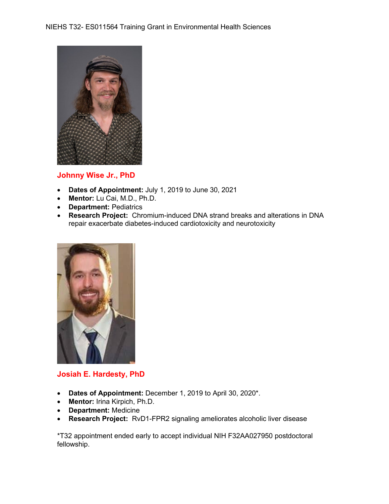

### **Johnny Wise Jr., PhD**

- **Dates of Appointment:** July 1, 2019 to June 30, 2021
- **Mentor:** Lu Cai, M.D., Ph.D.
- **Department:** Pediatrics
- **Research Project:** Chromium-induced DNA strand breaks and alterations in DNA repair exacerbate diabetes-induced cardiotoxicity and neurotoxicity



## **Josiah E. Hardesty, PhD**

- **Dates of Appointment:** December 1, 2019 to April 30, 2020\*.
- **Mentor:** Irina Kirpich, Ph.D.
- **Department:** Medicine
- **Research Project:** RvD1-FPR2 signaling ameliorates alcoholic liver disease

\*T32 appointment ended early to accept individual NIH F32AA027950 postdoctoral fellowship.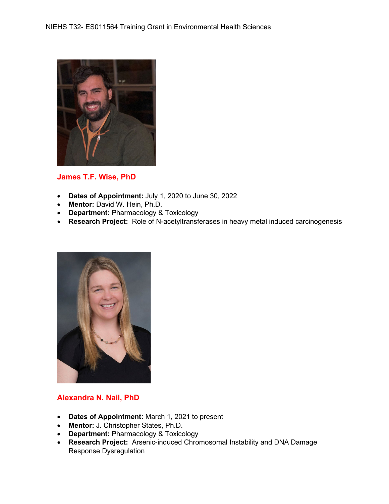

## **James T.F. Wise, PhD**

- **Dates of Appointment:** July 1, 2020 to June 30, 2022
- **Mentor:** David W. Hein, Ph.D.
- **Department:** Pharmacology & Toxicology
- **Research Project:** Role of N-acetyltransferases in heavy metal induced carcinogenesis



## **Alexandra N. Nail, PhD**

- **Dates of Appointment:** March 1, 2021 to present
- **Mentor:** J. Christopher States, Ph.D.
- **Department:** Pharmacology & Toxicology
- **Research Project:** Arsenic-induced Chromosomal Instability and DNA Damage Response Dysregulation